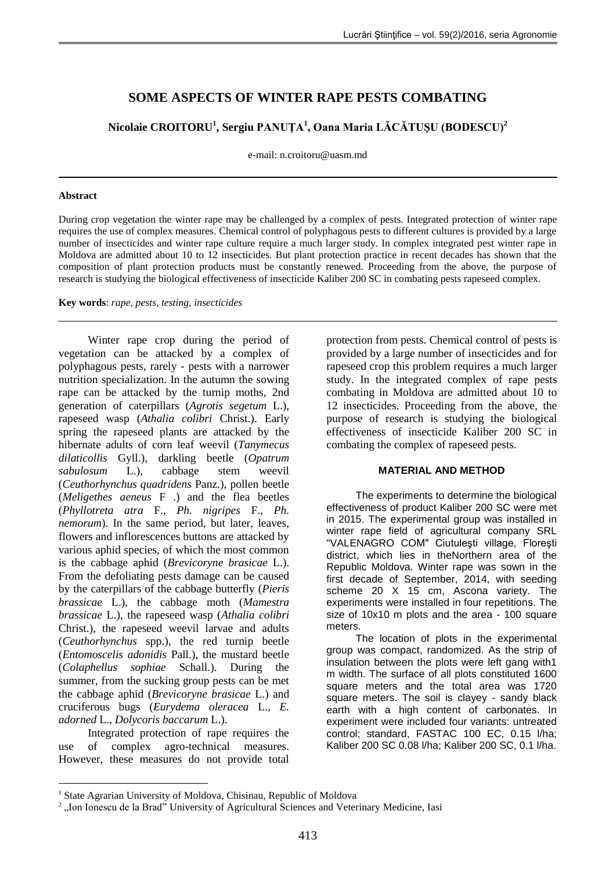# **SOME ASPECTS OF WINTER RAPE PESTS COMBATING**

**Nicolaie CROITORU<sup>1</sup> , Sergiu PANUŢA<sup>1</sup> , Oana Maria LĂCĂTUŞU (BODESCU)<sup>2</sup>**

e-mail: n.croitoru@uasm.md

### **Abstract**

During crop vegetation the winter rape may be challenged by a complex of pests. Integrated protection of winter rape requires the use of complex measures. Chemical control of polyphagous pests to different cultures is provided by a large number of insecticides and winter rape culture require a much larger study. In complex integrated pest winter rape in Moldova are admitted about 10 to 12 insecticides. But plant protection practice in recent decades has shown that the composition of plant protection products must be constantly renewed. Proceeding from the above, the purpose of research is studying the biological effectiveness of insecticide Kaliber 200 SC in combating pests rapeseed complex.

**Key words**: *rape, pests, testing, insecticides*

Winter rape crop during the period of vegetation can be attacked by a complex of polyphagous pests, rarely - pests with a narrower nutrition specialization. In the autumn the sowing rape can be attacked by the turnip moths, 2nd generation of caterpillars (*Agrotis segetum* L.), rapeseed wasp (*Athalia colibri* Christ.). Early spring the rapeseed plants are attacked by the hibernate adults of corn leaf weevil (*Tanymecus dilaticollis* Gyll.), darkling beetle (*Opatrum sabulosum* L.), cabbage stem weevil (*Ceuthorhynchus quadridens* Panz.), pollen beetle (*Meligethes aeneus* F .) and the flea beetles (*Phyllotreta atra* F., *Ph. nigripes* F., *Ph. nemorum*). In the same period, but later, leaves, flowers and inflorescences buttons are attacked by various aphid species, of which the most common is the cabbage aphid (*Brevicoryne brasicae* L.). From the defoliating pests damage can be caused by the caterpillars of the cabbage butterfly (*Pieris brassicae* L.), the cabbage moth (*Mamestra brassicae* L.), the rapeseed wasp (*Athalia colibri* Christ.), the rapeseed weevil larvae and adults (*Ceuthorhynchus* spp.), the red turnip beetle (*Entomoscelis adonidis* Pall.), the mustard beetle (*Colaphellus sophiae* Schall.). During the summer, from the sucking group pests can be met the cabbage aphid (*Brevicoryne brasicae* L.) and cruciferous bugs (*Eurydema oleracea* L., *E. adorned* L., *Dolycoris baccarum* L.).

Integrated protection of rape requires the use of complex agro-technical measures. However, these measures do not provide total

<u>.</u>

protection from pests. Chemical control of pests is provided by a large number of insecticides and for rapeseed crop this problem requires a much larger study. In the integrated complex of rape pests combating in Moldova are admitted about 10 to 12 insecticides. Proceeding from the above, the purpose of research is studying the biological effectiveness of insecticide Kaliber 200 SC in combating the complex of rapeseed pests.

## **MATERIAL AND METHOD**

The experiments to determine the biological effectiveness of product Kaliber 200 SC were met in 2015. The experimental group was installed in winter rape field of agricultural company SRL "VALENAGRO COM" Ciutuleşti village, Floreşti district, which lies in theNorthern area of the Republic Moldova. Winter rape was sown in the first decade of September, 2014, with seeding scheme 20 X 15 cm, Ascona variety. The experiments were installed in four repetitions. The size of 10x10 m plots and the area - 100 square meters.

The location of plots in the experimental group was compact, randomized. As the strip of insulation between the plots were left gang with1 m width. The surface of all plots constituted 1600 square meters and the total area was 1720 square meters. The soil is clayey - sandy black earth with a high content of carbonates. In experiment were included four variants: untreated control; standard, FASTAC 100 EC, 0.15 l/ha; Kaliber 200 SC 0.08 l/ha; Kaliber 200 SC, 0.1 l/ha.

<sup>&</sup>lt;sup>1</sup> State Agrarian University of Moldova, Chisinau, Republic of Moldova

<sup>&</sup>lt;sup>2</sup>, Ion Ionescu de la Brad" University of Agricultural Sciences and Veterinary Medicine, Iasi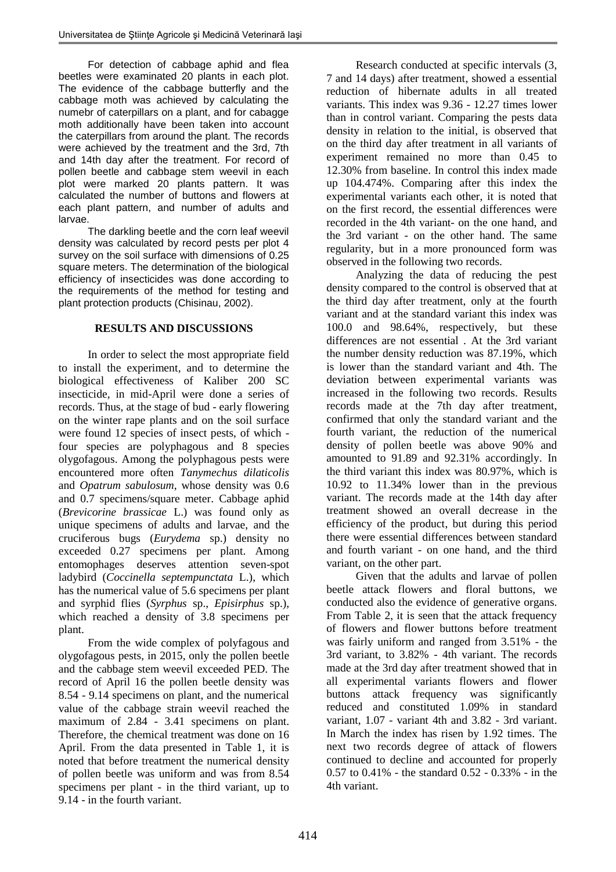For detection of cabbage aphid and flea beetles were examinated 20 plants in each plot. The evidence of the cabbage butterfly and the cabbage moth was achieved by calculating the numebr of caterpillars on a plant, and for cabagge moth additionally have been taken into account the caterpillars from around the plant. The records were achieved by the treatment and the 3rd, 7th and 14th day after the treatment. For record of pollen beetle and cabbage stem weevil in each plot were marked 20 plants pattern. It was calculated the number of buttons and flowers at each plant pattern, and number of adults and larvae.

The darkling beetle and the corn leaf weevil density was calculated by record pests per plot 4 survey on the soil surface with dimensions of 0.25 square meters. The determination of the biological efficiency of insecticides was done according to the requirements of the method for testing and plant protection products (Chisinau, 2002).

# **RESULTS AND DISCUSSIONS**

In order to select the most appropriate field to install the experiment, and to determine the biological effectiveness of Kaliber 200 SC insecticide, in mid-April were done a series of records. Thus, at the stage of bud - early flowering on the winter rape plants and on the soil surface were found 12 species of insect pests, of which four species are polyphagous and 8 species olygofagous. Among the polyphagous pests were encountered more often *Tanymechus dilaticolis* and *Opatrum sabulosum*, whose density was 0.6 and 0.7 specimens/square meter. Cabbage aphid (*Brevicorine brassicae* L.) was found only as unique specimens of adults and larvae, and the cruciferous bugs (*Eurydema* sp.) density no exceeded 0.27 specimens per plant. Among entomophages deserves attention seven-spot ladybird (*Coccinella septempunctata* L.), which has the numerical value of 5.6 specimens per plant and syrphid flies (*Syrphus* sp., *Episirphus* sp.), which reached a density of 3.8 specimens per plant.

From the wide complex of polyfagous and olygofagous pests, in 2015, only the pollen beetle and the cabbage stem weevil exceeded PED. The record of April 16 the pollen beetle density was 8.54 - 9.14 specimens on plant, and the numerical value of the cabbage strain weevil reached the maximum of 2.84 - 3.41 specimens on plant. Therefore, the chemical treatment was done on 16 April. From the data presented in Table 1, it is noted that before treatment the numerical density of pollen beetle was uniform and was from 8.54 specimens per plant - in the third variant, up to 9.14 - in the fourth variant.

Research conducted at specific intervals (3, 7 and 14 days) after treatment, showed a essential reduction of hibernate adults in all treated variants. This index was 9.36 - 12.27 times lower than in control variant. Comparing the pests data density in relation to the initial, is observed that on the third day after treatment in all variants of experiment remained no more than 0.45 to 12.30% from baseline. In control this index made up 104.474%. Comparing after this index the experimental variants each other, it is noted that on the first record, the essential differences were recorded in the 4th variant- on the one hand, and the 3rd variant - on the other hand. The same regularity, but in a more pronounced form was observed in the following two records.

Analyzing the data of reducing the pest density compared to the control is observed that at the third day after treatment, only at the fourth variant and at the standard variant this index was 100.0 and 98.64%, respectively, but these differences are not essential . At the 3rd variant the number density reduction was 87.19%, which is lower than the standard variant and 4th. The deviation between experimental variants was increased in the following two records. Results records made at the 7th day after treatment, confirmed that only the standard variant and the fourth variant, the reduction of the numerical density of pollen beetle was above 90% and amounted to 91.89 and 92.31% accordingly. In the third variant this index was 80.97%, which is 10.92 to 11.34% lower than in the previous variant. The records made at the 14th day after treatment showed an overall decrease in the efficiency of the product, but during this period there were essential differences between standard and fourth variant - on one hand, and the third variant, on the other part.

Given that the adults and larvae of pollen beetle attack flowers and floral buttons, we conducted also the evidence of generative organs. From Table 2, it is seen that the attack frequency of flowers and flower buttons before treatment was fairly uniform and ranged from 3.51% - the 3rd variant, to 3.82% - 4th variant. The records made at the 3rd day after treatment showed that in all experimental variants flowers and flower buttons attack frequency was significantly reduced and constituted 1.09% in standard variant, 1.07 - variant 4th and 3.82 - 3rd variant. In March the index has risen by 1.92 times. The next two records degree of attack of flowers continued to decline and accounted for properly 0.57 to 0.41% - the standard 0.52 - 0.33% - in the 4th variant.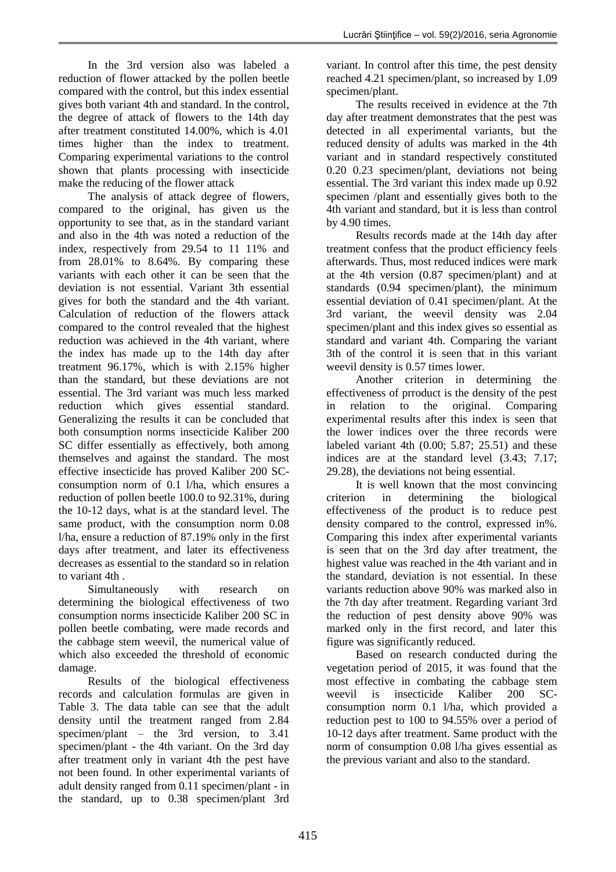In the 3rd version also was labeled a reduction of flower attacked by the pollen beetle compared with the control, but this index essential gives both variant 4th and standard. In the control, the degree of attack of flowers to the 14th day after treatment constituted 14.00%, which is 4.01 times higher than the index to treatment. Comparing experimental variations to the control shown that plants processing with insecticide make the reducing of the flower attack

The analysis of attack degree of flowers, compared to the original, has given us the opportunity to see that, as in the standard variant and also in the 4th was noted a reduction of the index, respectively from 29.54 to 11 11% and from 28.01% to 8.64%. By comparing these variants with each other it can be seen that the deviation is not essential. Variant 3th essential gives for both the standard and the 4th variant. Calculation of reduction of the flowers attack compared to the control revealed that the highest reduction was achieved in the 4th variant, where the index has made up to the 14th day after treatment 96.17%, which is with 2.15% higher than the standard, but these deviations are not essential. The 3rd variant was much less marked reduction which gives essential standard. Generalizing the results it can be concluded that both consumption norms insecticide Kaliber 200 SC differ essentially as effectively, both among themselves and against the standard. The most effective insecticide has proved Kaliber 200 SCconsumption norm of 0.1 l/ha, which ensures a reduction of pollen beetle 100.0 to 92.31%, during the 10-12 days, what is at the standard level. The same product, with the consumption norm 0.08 l/ha, ensure a reduction of 87.19% only in the first days after treatment, and later its effectiveness decreases as essential to the standard so in relation to variant 4th .

Simultaneously with research on determining the biological effectiveness of two consumption norms insecticide Kaliber 200 SC in pollen beetle combating, were made records and the cabbage stem weevil, the numerical value of which also exceeded the threshold of economic damage.

Results of the biological effectiveness records and calculation formulas are given in Table 3. The data table can see that the adult density until the treatment ranged from 2.84 specimen/plant – the 3rd version, to 3.41 specimen/plant - the 4th variant. On the 3rd day after treatment only in variant 4th the pest have not been found. In other experimental variants of adult density ranged from 0.11 specimen/plant - in the standard, up to 0.38 specimen/plant 3rd

variant. In control after this time, the pest density reached 4.21 specimen/plant, so increased by 1.09 specimen/plant.

The results received in evidence at the 7th day after treatment demonstrates that the pest was detected in all experimental variants, but the reduced density of adults was marked in the 4th variant and in standard respectively constituted 0.20 0.23 specimen/plant, deviations not being essential. The 3rd variant this index made up 0.92 specimen /plant and essentially gives both to the 4th variant and standard, but it is less than control by 4.90 times.

Results records made at the 14th day after treatment confess that the product efficiency feels afterwards. Thus, most reduced indices were mark at the 4th version (0.87 specimen/plant) and at standards (0.94 specimen/plant), the minimum essential deviation of 0.41 specimen/plant. At the 3rd variant, the weevil density was 2.04 specimen/plant and this index gives so essential as standard and variant 4th. Comparing the variant 3th of the control it is seen that in this variant weevil density is 0.57 times lower.

Another criterion in determining the effectiveness of prroduct is the density of the pest in relation to the original. Comparing experimental results after this index is seen that the lower indices over the three records were labeled variant 4th  $(0.00; 5.87; 25.51)$  and these indices are at the standard level (3.43; 7.17; 29.28), the deviations not being essential.

It is well known that the most convincing criterion in determining the biological effectiveness of the product is to reduce pest density compared to the control, expressed in%. Comparing this index after experimental variants is seen that on the 3rd day after treatment, the highest value was reached in the 4th variant and in the standard, deviation is not essential. In these variants reduction above 90% was marked also in the 7th day after treatment. Regarding variant 3rd the reduction of pest density above 90% was marked only in the first record, and later this figure was significantly reduced.

Based on research conducted during the vegetation period of 2015, it was found that the most effective in combating the cabbage stem weevil is insecticide Kaliber 200 SCconsumption norm 0.1 l/ha, which provided a reduction pest to 100 to 94.55% over a period of 10-12 days after treatment. Same product with the norm of consumption 0.08 l/ha gives essential as the previous variant and also to the standard.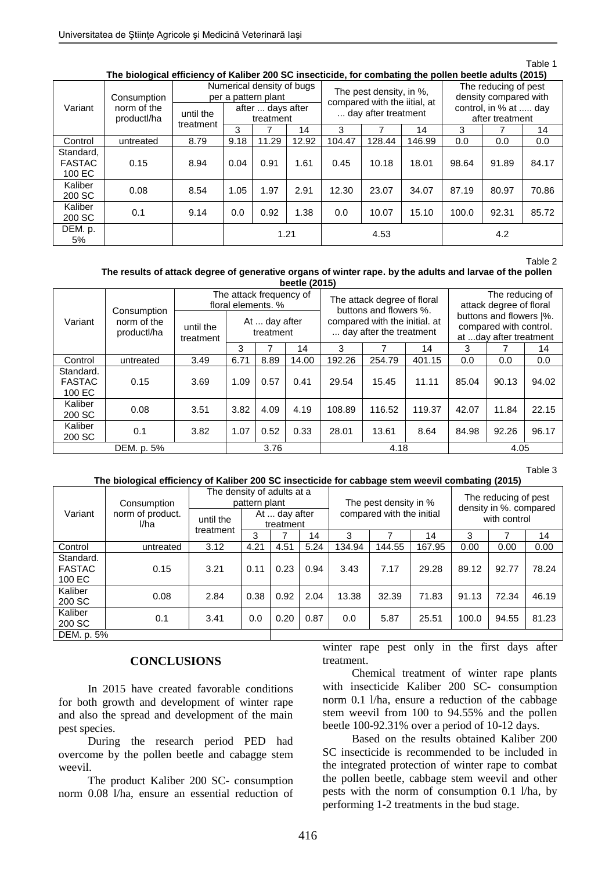#### Table 1

| The biological efficiency of Kaliber 200 SC insecticide, for combating the pollen beetle adults (2015) |  |
|--------------------------------------------------------------------------------------------------------|--|
|--------------------------------------------------------------------------------------------------------|--|

| The profoglical emiclency of Kamber 200 30 misecucide, for companing the polien beene addits (2013) |                                           |                        |                                |                                                  |       |                                                         |        |        |                                               |       |       |  |
|-----------------------------------------------------------------------------------------------------|-------------------------------------------|------------------------|--------------------------------|--------------------------------------------------|-------|---------------------------------------------------------|--------|--------|-----------------------------------------------|-------|-------|--|
| Variant                                                                                             | Consumption<br>norm of the<br>productl/ha |                        |                                | Numerical density of bugs<br>per a pattern plant |       | The pest density, in %,<br>compared with the iitial, at |        |        | The reducing of pest<br>density compared with |       |       |  |
|                                                                                                     |                                           | until the<br>treatment | after  days after<br>treatment |                                                  |       | day after treatment                                     |        |        | control, in % at  day<br>after treatment      |       |       |  |
|                                                                                                     |                                           |                        | 3                              |                                                  | 14    | 3                                                       |        | 14     | 3                                             |       | 14    |  |
| Control                                                                                             | untreated                                 | 8.79                   | 9.18                           | 11.29                                            | 12.92 | 104.47                                                  | 128.44 | 146.99 | 0.0                                           | 0.0   | 0.0   |  |
| Standard,<br><b>FASTAC</b><br>100 EC                                                                | 0.15                                      | 8.94                   | 0.04                           | 0.91                                             | 1.61  | 0.45                                                    | 10.18  | 18.01  | 98.64                                         | 91.89 | 84.17 |  |
| Kaliber<br>200 SC                                                                                   | 0.08                                      | 8.54                   | 1.05                           | 1.97                                             | 2.91  | 12.30                                                   | 23.07  | 34.07  | 87.19                                         | 80.97 | 70.86 |  |
| Kaliber<br>200 SC                                                                                   | 0.1                                       | 9.14                   | 0.0                            | 0.92                                             | 1.38  | 0.0                                                     | 10.07  | 15.10  | 100.0                                         | 92.31 | 85.72 |  |
| DEM. p.<br>5%                                                                                       |                                           |                        | 1.21                           |                                                  |       | 4.53                                                    |        |        | 4.2                                           |       |       |  |

Table 2

#### **The results of attack degree of generative organs of winter rape. by the adults and larvae of the pollen beetle (2015)**

| <b>NECHE (ZUIJ)</b>                  |                                           |                        |                                                                             |      |       |        |                                                                                                                   |        |                                                                                                                           |       |       |
|--------------------------------------|-------------------------------------------|------------------------|-----------------------------------------------------------------------------|------|-------|--------|-------------------------------------------------------------------------------------------------------------------|--------|---------------------------------------------------------------------------------------------------------------------------|-------|-------|
| Variant                              | Consumption<br>norm of the<br>productl/ha | until the<br>treatment | The attack frequency of<br>floral elements, %<br>At  day after<br>treatment |      |       |        | The attack degree of floral<br>buttons and flowers %.<br>compared with the initial. at<br>day after the treatment |        | The reducing of<br>attack degree of floral<br>buttons and flowers  %.<br>compared with control.<br>at day after treatment |       |       |
|                                      |                                           |                        | 3                                                                           |      | 14    | 3      |                                                                                                                   | 14     | 3                                                                                                                         |       | 14    |
| Control                              | untreated                                 | 3.49                   | 6.71                                                                        | 8.89 | 14.00 | 192.26 | 254.79                                                                                                            | 401.15 | 0.0                                                                                                                       | 0.0   | 0.0   |
| Standard.<br><b>FASTAC</b><br>100 EC | 0.15                                      | 3.69                   | 1.09                                                                        | 0.57 | 0.41  | 29.54  | 15.45                                                                                                             | 11.11  | 85.04                                                                                                                     | 90.13 | 94.02 |
| Kaliber<br>200 SC                    | 0.08                                      | 3.51                   | 3.82                                                                        | 4.09 | 4.19  | 108.89 | 116.52                                                                                                            | 119.37 | 42.07                                                                                                                     | 11.84 | 22.15 |
| Kaliber<br>200 SC                    | 0.1                                       | 3.82                   | 1.07                                                                        | 0.52 | 0.33  | 28.01  | 13.61                                                                                                             | 8.64   | 84.98                                                                                                                     | 92.26 | 96.17 |
| DEM. p. 5%                           |                                           |                        |                                                                             | 3.76 |       |        | 4.18                                                                                                              |        | 4.05                                                                                                                      |       |       |

Table 3

### **The biological efficiency of Kaliber 200 SC insecticide for cabbage stem weevil combating (2015)**

| Variant                              | Consumption              | The density of adults at a<br>pattern plant |                            |      |      | The pest density in % |                           |        | The reducing of pest<br>density in %. compared |       |       |
|--------------------------------------|--------------------------|---------------------------------------------|----------------------------|------|------|-----------------------|---------------------------|--------|------------------------------------------------|-------|-------|
|                                      | norm of product.<br>l/ha | until the<br>treatment                      | At  day after<br>treatment |      |      |                       | compared with the initial |        | with control                                   |       |       |
|                                      |                          |                                             | 3                          |      | 14   | 3                     |                           | 14     | 3                                              |       | 14    |
| Control                              | untreated                | 3.12                                        | 4.21                       | 4.51 | 5.24 | 134.94                | 144.55                    | 167.95 | 0.00                                           | 0.00  | 0.00  |
| Standard.<br><b>FASTAC</b><br>100 EC | 0.15                     | 3.21                                        | 0.11                       | 0.23 | 0.94 | 3.43                  | 7.17                      | 29.28  | 89.12                                          | 92.77 | 78.24 |
| Kaliber<br>200 SC                    | 0.08                     | 2.84                                        | 0.38                       | 0.92 | 2.04 | 13.38                 | 32.39                     | 71.83  | 91.13                                          | 72.34 | 46.19 |
| Kaliber<br>200 SC                    | 0.1                      | 3.41                                        | 0.0                        | 0.20 | 0.87 | 0.0                   | 5.87                      | 25.51  | 100.0                                          | 94.55 | 81.23 |
| DEM. p. 5%                           |                          |                                             |                            |      |      |                       |                           |        |                                                |       |       |

# **CONCLUSIONS**

In 2015 have created favorable conditions for both growth and development of winter rape and also the spread and development of the main pest species.

During the research period PED had overcome by the pollen beetle and cabagge stem weevil.

The product Kaliber 200 SC- consumption norm 0.08 l/ha, ensure an essential reduction of winter rape pest only in the first days after treatment.

Chemical treatment of winter rape plants with insecticide Kaliber 200 SC- consumption norm 0.1 l/ha, ensure a reduction of the cabbage stem weevil from 100 to 94.55% and the pollen beetle 100-92.31% over a period of 10-12 days.

Based on the results obtained Kaliber 200 SC insecticide is recommended to be included in the integrated protection of winter rape to combat the pollen beetle, cabbage stem weevil and other pests with the norm of consumption 0.1 l/ha, by performing 1-2 treatments in the bud stage.